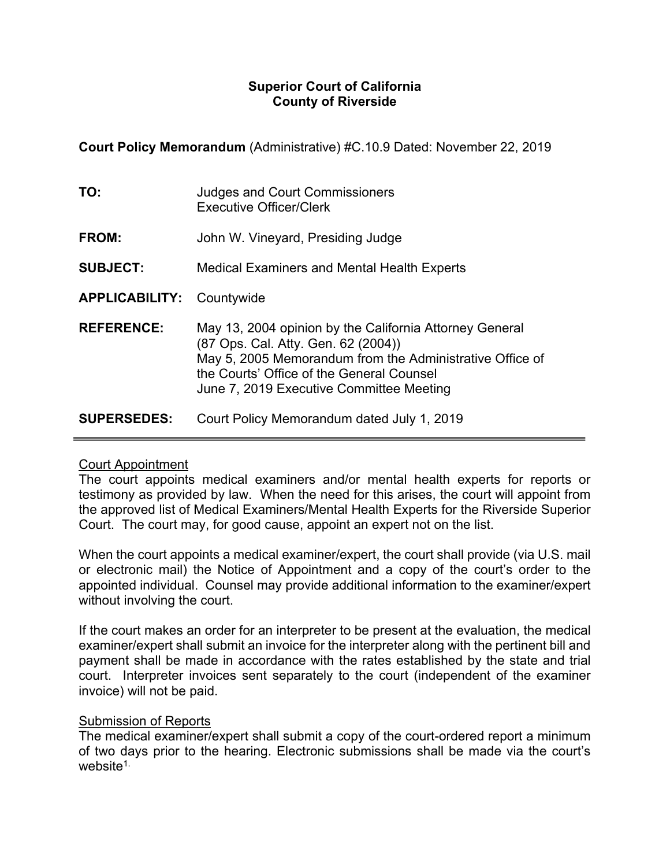## **Superior Court of California County of Riverside**

**Court Policy Memorandum** (Administrative) #C.10.9 Dated: November 22, 2019

| TO:                              | <b>Judges and Court Commissioners</b><br><b>Executive Officer/Clerk</b>                                                                                                                                                                             |
|----------------------------------|-----------------------------------------------------------------------------------------------------------------------------------------------------------------------------------------------------------------------------------------------------|
| FROM:                            | John W. Vineyard, Presiding Judge                                                                                                                                                                                                                   |
| <b>SUBJECT:</b>                  | <b>Medical Examiners and Mental Health Experts</b>                                                                                                                                                                                                  |
| <b>APPLICABILITY: Countywide</b> |                                                                                                                                                                                                                                                     |
| <b>REFERENCE:</b>                | May 13, 2004 opinion by the California Attorney General<br>(87 Ops. Cal. Atty. Gen. 62 (2004))<br>May 5, 2005 Memorandum from the Administrative Office of<br>the Courts' Office of the General Counsel<br>June 7, 2019 Executive Committee Meeting |
| <b>SUPERSEDES:</b>               | Court Policy Memorandum dated July 1, 2019                                                                                                                                                                                                          |

## Court Appointment

The court appoints medical examiners and/or mental health experts for reports or testimony as provided by law. When the need for this arises, the court will appoint from the approved list of Medical Examiners/Mental Health Experts for the Riverside Superior Court. The court may, for good cause, appoint an expert not on the list.

When the court appoints a medical examiner/expert, the court shall provide (via U.S. mail or electronic mail) the Notice of Appointment and a copy of the court's order to the appointed individual. Counsel may provide additional information to the examiner/expert without involving the court.

If the court makes an order for an interpreter to be present at the evaluation, the medical examiner/expert shall submit an invoice for the interpreter along with the pertinent bill and payment shall be made in accordance with the rates established by the state and trial court. Interpreter invoices sent separately to the court (independent of the examiner invoice) will not be paid.

# **Submission of Reports**

The medical examiner/expert shall submit a copy of the court-ordered report a minimum of two days prior to the hearing. Electronic submissions shall be made via the court's website<sup>1.</sup>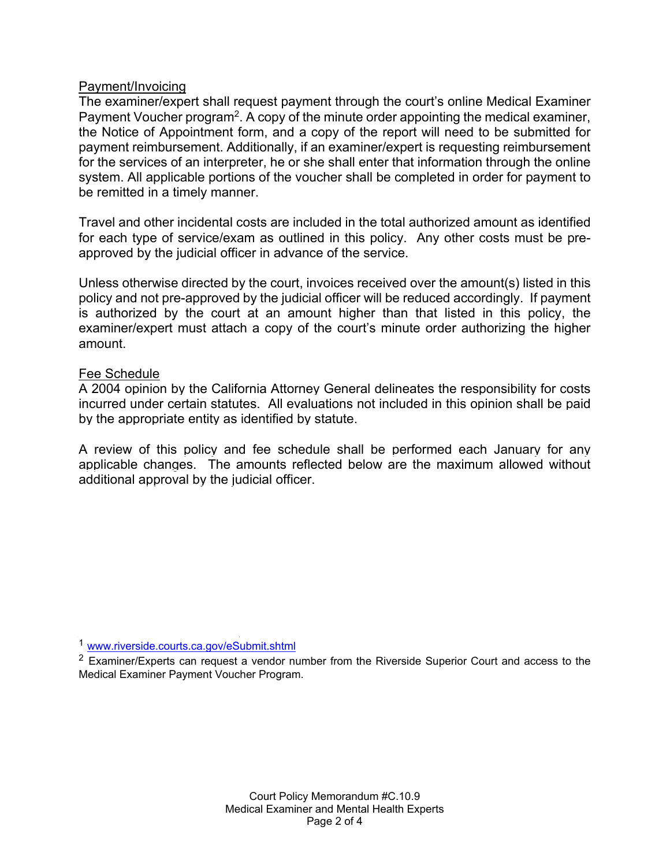### Payment/Invoicing

The examiner/expert shall request payment through the court's online Medical Examiner Payment Voucher program<sup>2</sup>. A copy of the minute order appointing the medical examiner, the Notice of Appointment form, and a copy of the report will need to be submitted for payment reimbursement. Additionally, if an examiner/expert is requesting reimbursement for the services of an interpreter, he or she shall enter that information through the online system. All applicable portions of the voucher shall be completed in order for payment to be remitted in a timely manner.

Travel and other incidental costs are included in the total authorized amount as identified for each type of service/exam as outlined in this policy. Any other costs must be preapproved by the judicial officer in advance of the service.

Unless otherwise directed by the court, invoices received over the amount(s) listed in this policy and not pre-approved by the judicial officer will be reduced accordingly. If payment is authorized by the court at an amount higher than that listed in this policy, the examiner/expert must attach a copy of the court's minute order authorizing the higher amount.

#### Fee Schedule

A 2004 opinion by the California Attorney General delineates the responsibility for costs incurred under certain statutes. All evaluations not included in this opinion shall be paid by the appropriate entity as identified by statute.

A review of this policy and fee schedule shall be performed each January for any applicable changes. The amounts reflected below are the maximum allowed without additional approval by the judicial officer.

<sup>1</sup> www.riverside.courts.ca.gov/eSubmit.shtml

 $2$  Examiner/Experts can request a vendor number from the Riverside Superior Court and access to the Medical Examiner Payment Voucher Program.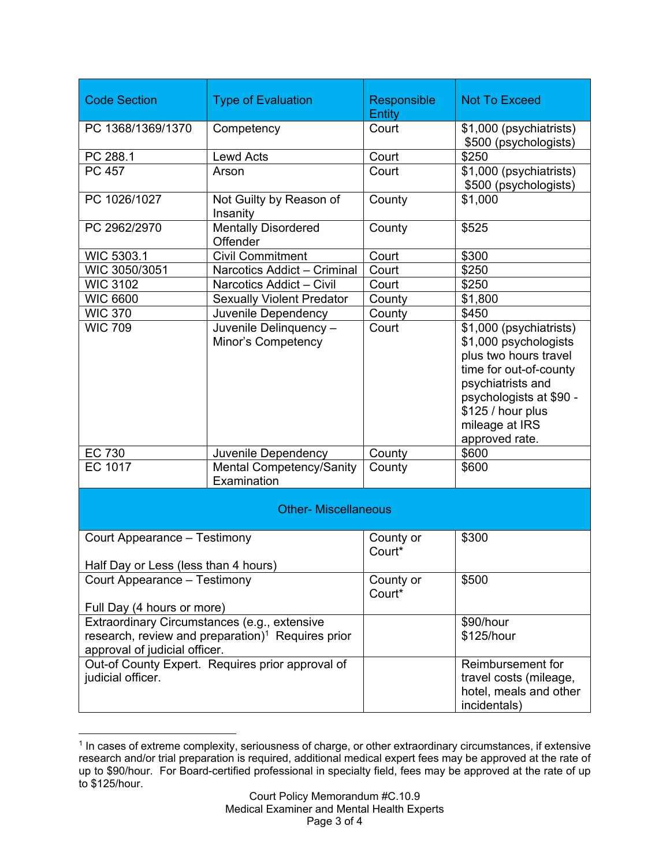| <b>Code Section</b>                                                   | <b>Type of Evaluation</b>                                     | Responsible<br><b>Entity</b> | <b>Not To Exceed</b>                                                                                                                                                                                         |  |  |
|-----------------------------------------------------------------------|---------------------------------------------------------------|------------------------------|--------------------------------------------------------------------------------------------------------------------------------------------------------------------------------------------------------------|--|--|
| PC 1368/1369/1370                                                     | Competency                                                    | Court                        | \$1,000 (psychiatrists)                                                                                                                                                                                      |  |  |
|                                                                       |                                                               |                              | \$500 (psychologists)                                                                                                                                                                                        |  |  |
| PC 288.1                                                              | <b>Lewd Acts</b>                                              | Court                        | \$250                                                                                                                                                                                                        |  |  |
| PC 457                                                                | Arson                                                         | Court                        | \$1,000 (psychiatrists)<br>\$500 (psychologists)                                                                                                                                                             |  |  |
| PC 1026/1027                                                          | Not Guilty by Reason of<br>Insanity                           | County                       | \$1,000                                                                                                                                                                                                      |  |  |
| PC 2962/2970                                                          | <b>Mentally Disordered</b><br>Offender                        | County                       | \$525                                                                                                                                                                                                        |  |  |
| WIC 5303.1                                                            | <b>Civil Commitment</b>                                       | Court                        | \$300                                                                                                                                                                                                        |  |  |
| WIC 3050/3051                                                         | Narcotics Addict - Criminal                                   | Court                        | \$250                                                                                                                                                                                                        |  |  |
| <b>WIC 3102</b>                                                       | Narcotics Addict - Civil                                      | Court                        | \$250                                                                                                                                                                                                        |  |  |
| <b>WIC 6600</b>                                                       | <b>Sexually Violent Predator</b>                              | County                       | \$1,800                                                                                                                                                                                                      |  |  |
| <b>WIC 370</b>                                                        | Juvenile Dependency                                           | County                       | \$450                                                                                                                                                                                                        |  |  |
| <b>WIC 709</b>                                                        | Juvenile Delinquency -<br><b>Minor's Competency</b>           | Court                        | \$1,000 (psychiatrists)<br>\$1,000 psychologists<br>plus two hours travel<br>time for out-of-county<br>psychiatrists and<br>psychologists at \$90 -<br>\$125 / hour plus<br>mileage at IRS<br>approved rate. |  |  |
| EC 730                                                                | Juvenile Dependency                                           | County                       | \$600                                                                                                                                                                                                        |  |  |
| <b>EC 1017</b>                                                        | <b>Mental Competency/Sanity</b><br>Examination                | County                       | \$600                                                                                                                                                                                                        |  |  |
| <b>Other- Miscellaneous</b>                                           |                                                               |                              |                                                                                                                                                                                                              |  |  |
| Court Appearance - Testimony<br>Half Day or Less (less than 4 hours)  |                                                               | County or<br>Court*          | \$300                                                                                                                                                                                                        |  |  |
| Court Appearance - Testimony                                          |                                                               | County or                    | \$500                                                                                                                                                                                                        |  |  |
| Full Day (4 hours or more)                                            |                                                               | Court*                       |                                                                                                                                                                                                              |  |  |
| Extraordinary Circumstances (e.g., extensive                          |                                                               |                              | \$90/hour                                                                                                                                                                                                    |  |  |
|                                                                       | research, review and preparation) <sup>1</sup> Requires prior |                              | \$125/hour                                                                                                                                                                                                   |  |  |
| approval of judicial officer.                                         |                                                               |                              |                                                                                                                                                                                                              |  |  |
| Out-of County Expert. Requires prior approval of<br>judicial officer. |                                                               |                              | Reimbursement for<br>travel costs (mileage,<br>hotel, meals and other<br>incidentals)                                                                                                                        |  |  |

 $\overline{a}$ <sup>1</sup> In cases of extreme complexity, seriousness of charge, or other extraordinary circumstances, if extensive research and/or trial preparation is required, additional medical expert fees may be approved at the rate of up to \$90/hour. For Board-certified professional in specialty field, fees may be approved at the rate of up to \$125/hour.